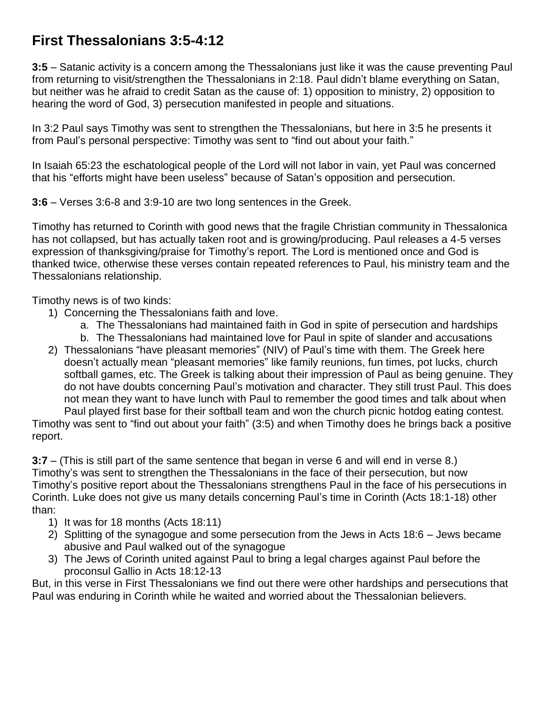## **First Thessalonians 3:5-4:12**

**3:5** – Satanic activity is a concern among the Thessalonians just like it was the cause preventing Paul from returning to visit/strengthen the Thessalonians in 2:18. Paul didn't blame everything on Satan, but neither was he afraid to credit Satan as the cause of: 1) opposition to ministry, 2) opposition to hearing the word of God, 3) persecution manifested in people and situations.

In 3:2 Paul says Timothy was sent to strengthen the Thessalonians, but here in 3:5 he presents it from Paul's personal perspective: Timothy was sent to "find out about your faith."

In Isaiah 65:23 the eschatological people of the Lord will not labor in vain, yet Paul was concerned that his "efforts might have been useless" because of Satan's opposition and persecution.

**3:6** – Verses 3:6-8 and 3:9-10 are two long sentences in the Greek.

Timothy has returned to Corinth with good news that the fragile Christian community in Thessalonica has not collapsed, but has actually taken root and is growing/producing. Paul releases a 4-5 verses expression of thanksgiving/praise for Timothy's report. The Lord is mentioned once and God is thanked twice, otherwise these verses contain repeated references to Paul, his ministry team and the Thessalonians relationship.

Timothy news is of two kinds:

- 1) Concerning the Thessalonians faith and love.
	- a. The Thessalonians had maintained faith in God in spite of persecution and hardships
	- b. The Thessalonians had maintained love for Paul in spite of slander and accusations
- 2) Thessalonians "have pleasant memories" (NIV) of Paul's time with them. The Greek here doesn't actually mean "pleasant memories" like family reunions, fun times, pot lucks, church softball games, etc. The Greek is talking about their impression of Paul as being genuine. They do not have doubts concerning Paul's motivation and character. They still trust Paul. This does not mean they want to have lunch with Paul to remember the good times and talk about when Paul played first base for their softball team and won the church picnic hotdog eating contest.

Timothy was sent to "find out about your faith" (3:5) and when Timothy does he brings back a positive report.

**3:7** – (This is still part of the same sentence that began in verse 6 and will end in verse 8.) Timothy's was sent to strengthen the Thessalonians in the face of their persecution, but now Timothy's positive report about the Thessalonians strengthens Paul in the face of his persecutions in Corinth. Luke does not give us many details concerning Paul's time in Corinth (Acts 18:1-18) other than:

- 1) It was for 18 months (Acts 18:11)
- 2) Splitting of the synagogue and some persecution from the Jews in Acts 18:6 Jews became abusive and Paul walked out of the synagogue
- 3) The Jews of Corinth united against Paul to bring a legal charges against Paul before the proconsul Gallio in Acts 18:12-13

But, in this verse in First Thessalonians we find out there were other hardships and persecutions that Paul was enduring in Corinth while he waited and worried about the Thessalonian believers.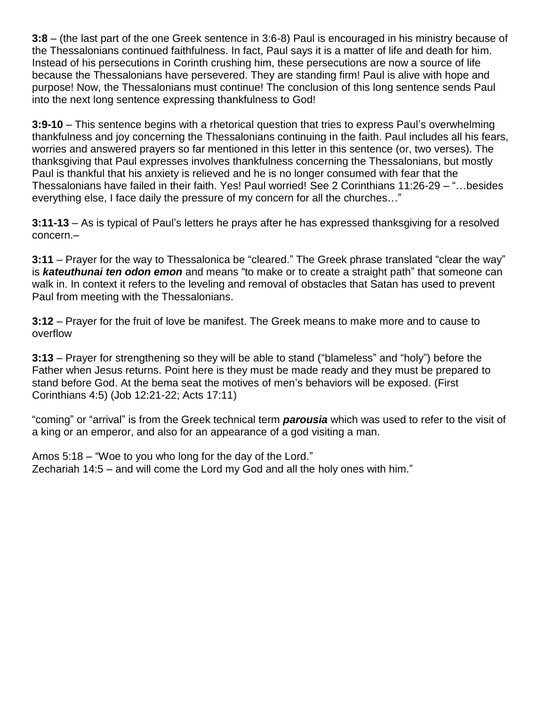**3:8** – (the last part of the one Greek sentence in 3:6-8) Paul is encouraged in his ministry because of the Thessalonians continued faithfulness. In fact, Paul says it is a matter of life and death for him. Instead of his persecutions in Corinth crushing him, these persecutions are now a source of life because the Thessalonians have persevered. They are standing firm! Paul is alive with hope and purpose! Now, the Thessalonians must continue! The conclusion of this long sentence sends Paul into the next long sentence expressing thankfulness to God!

**3:9-10** – This sentence begins with a rhetorical question that tries to express Paul's overwhelming thankfulness and joy concerning the Thessalonians continuing in the faith. Paul includes all his fears, worries and answered prayers so far mentioned in this letter in this sentence (or, two verses). The thanksgiving that Paul expresses involves thankfulness concerning the Thessalonians, but mostly Paul is thankful that his anxiety is relieved and he is no longer consumed with fear that the Thessalonians have failed in their faith. Yes! Paul worried! See 2 Corinthians 11:26-29 – "…besides everything else, I face daily the pressure of my concern for all the churches…"

**3:11-13** – As is typical of Paul's letters he prays after he has expressed thanksgiving for a resolved concern.–

**3:11** – Prayer for the way to Thessalonica be "cleared." The Greek phrase translated "clear the way" is *kateuthunai ten odon emon* and means "to make or to create a straight path" that someone can walk in. In context it refers to the leveling and removal of obstacles that Satan has used to prevent Paul from meeting with the Thessalonians.

**3:12** – Prayer for the fruit of love be manifest. The Greek means to make more and to cause to overflow

**3:13** – Prayer for strengthening so they will be able to stand ("blameless" and "holy") before the Father when Jesus returns. Point here is they must be made ready and they must be prepared to stand before God. At the bema seat the motives of men's behaviors will be exposed. (First Corinthians 4:5) (Job 12:21-22; Acts 17:11)

"coming" or "arrival" is from the Greek technical term *parousia* which was used to refer to the visit of a king or an emperor, and also for an appearance of a god visiting a man.

Amos 5:18 – "Woe to you who long for the day of the Lord." Zechariah 14:5 – and will come the Lord my God and all the holy ones with him."